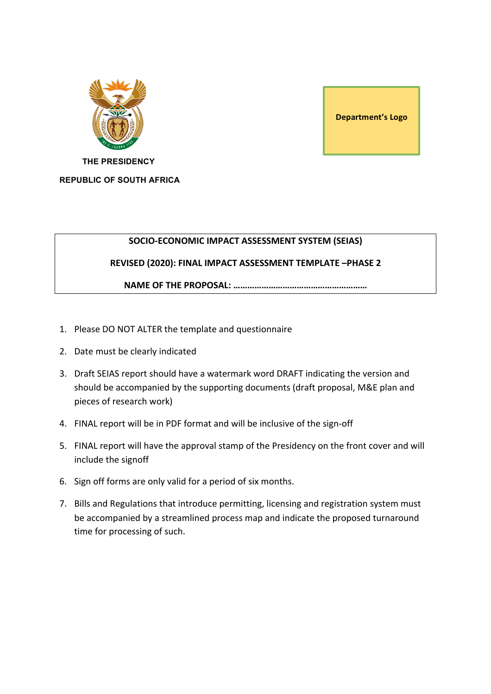

**Department's Logo** 

 **THE PRESIDENCY REPUBLIC OF SOUTH AFRICA**

#### **SOCIO-ECONOMIC IMPACT ASSESSMENT SYSTEM (SEIAS)**

## **REVISED (2020): FINAL IMPACT ASSESSMENT TEMPLATE -PHASE 2**

**NAME OF THE PROPOSAL: …………………………………………………**

- 1. Please DO NOT ALTER the template and questionnaire
- 2. Date must be clearly indicated
- 3. Draft SEIAS report should have a watermark word DRAFT indicating the version and should be accompanied by the supporting documents (draft proposal, M&E plan and pieces of research work)
- 4. FINAL report will be in PDF format and will be inclusive of the sign-off
- 5. FINAL report will have the approval stamp of the Presidency on the front cover and will include the signoff
- 6. Sign off forms are only valid for a period of six months.
- 7. Bills and Regulations that introduce permitting, licensing and registration system must be accompanied by a streamlined process map and indicate the proposed turnaround time for processing of such.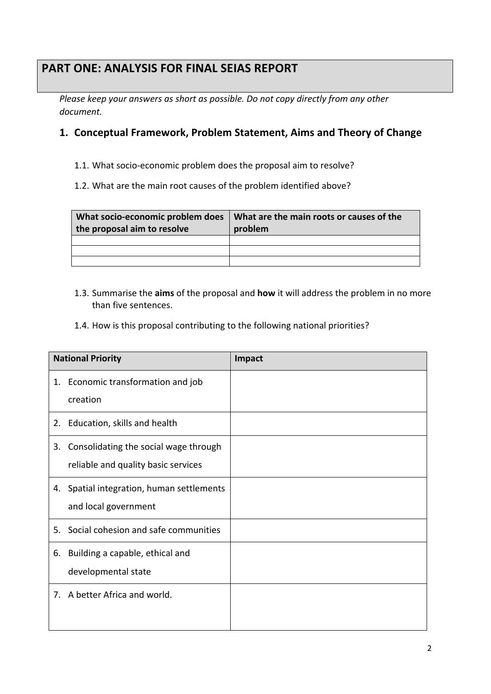# **PART ONE: ANALYSIS FOR FINAL SEIAS REPORT**

*Please keep your answers as short as possible. Do not copy directly from any other document.*

# **1. Conceptual Framework, Problem Statement, Aims and Theory of Change**

1.1. What socio-economic problem does the proposal aim to resolve?

1.2. What are the main root causes of the problem identified above?

| What socio-economic problem does<br>the proposal aim to resolve | What are the main roots or causes of the<br>problem |
|-----------------------------------------------------------------|-----------------------------------------------------|
|                                                                 |                                                     |
|                                                                 |                                                     |
|                                                                 |                                                     |

- 1.3. Summarise the **aims** of the proposal and **how** it will address the problem in no more than five sentences.
- 1.4. How is this proposal contributing to the following national priorities?

|    | <b>National Priority</b>                                                     | Impact |
|----|------------------------------------------------------------------------------|--------|
|    | 1. Economic transformation and job<br>creation                               |        |
|    | 2. Education, skills and health                                              |        |
| 3. | Consolidating the social wage through<br>reliable and quality basic services |        |
| 4. | Spatial integration, human settlements<br>and local government               |        |
| 5. | Social cohesion and safe communities                                         |        |
| 6. | Building a capable, ethical and<br>developmental state                       |        |
|    | 7. A better Africa and world.                                                |        |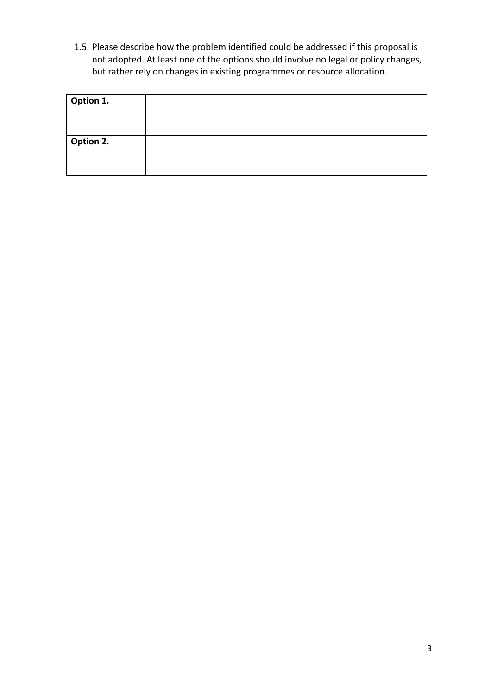1.5. Please describe how the problem identified could be addressed if this proposal is not adopted. At least one of the options should involve no legal or policy changes, but rather rely on changes in existing programmes or resource allocation.

| Option 1. |  |
|-----------|--|
|           |  |
|           |  |
| Option 2. |  |
|           |  |
|           |  |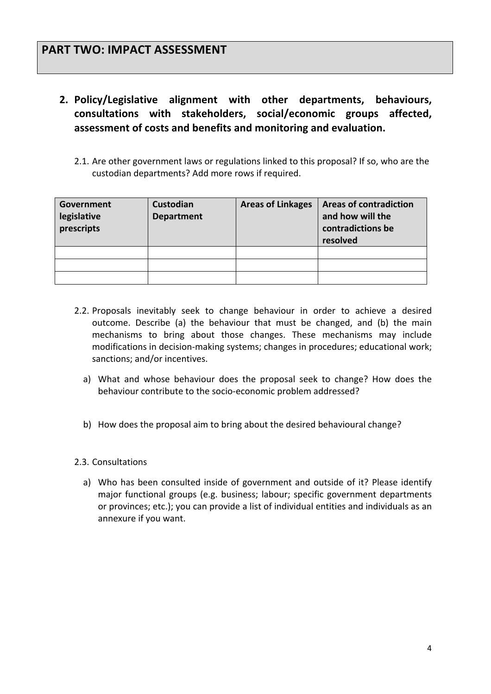- 2. Policy/Legislative alignment with other departments, behaviours, **consultations with stakeholders, social/economic groups affected,**  assessment of costs and benefits and monitoring and evaluation.
	- 2.1. Are other government laws or regulations linked to this proposal? If so, who are the custodian departments? Add more rows if required.

| Government<br>legislative<br>prescripts | Custodian<br><b>Department</b> | <b>Areas of Linkages</b> | <b>Areas of contradiction</b><br>and how will the<br>contradictions be<br>resolved |
|-----------------------------------------|--------------------------------|--------------------------|------------------------------------------------------------------------------------|
|                                         |                                |                          |                                                                                    |
|                                         |                                |                          |                                                                                    |
|                                         |                                |                          |                                                                                    |

- 2.2. Proposals inevitably seek to change behaviour in order to achieve a desired outcome. Describe (a) the behaviour that must be changed, and (b) the main mechanisms to bring about those changes. These mechanisms may include modifications in decision-making systems; changes in procedures; educational work; sanctions; and/or incentives.
	- a) What and whose behaviour does the proposal seek to change? How does the behaviour contribute to the socio-economic problem addressed?
	- b) How does the proposal aim to bring about the desired behavioural change?
- 2.3. Consultations
	- a) Who has been consulted inside of government and outside of it? Please identify major functional groups (e.g. business; labour; specific government departments or provinces; etc.); you can provide a list of individual entities and individuals as an annexure if you want.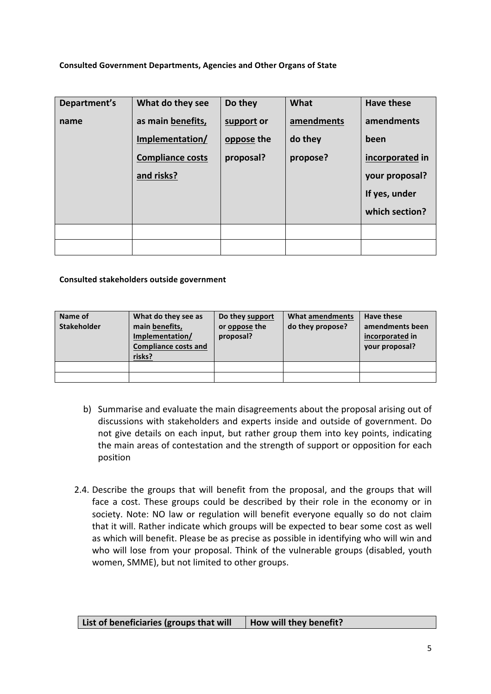#### **Consulted Government Departments, Agencies and Other Organs of State**

| Department's | What do they see        | Do they    | What       | <b>Have these</b> |
|--------------|-------------------------|------------|------------|-------------------|
| name         | as main benefits,       | support or | amendments | amendments        |
|              | Implementation/         | oppose the | do they    | been              |
|              | <b>Compliance costs</b> | proposal?  | propose?   | incorporated in   |
|              | and risks?              |            |            | your proposal?    |
|              |                         |            |            | If yes, under     |
|              |                         |            |            | which section?    |
|              |                         |            |            |                   |
|              |                         |            |            |                   |

#### **Consulted stakeholders outside government**

| Name of<br><b>Stakeholder</b> | What do they see as<br>main benefits,<br>Implementation/<br><b>Compliance costs and</b><br>risks? | Do they support<br>or oppose the<br>proposal? | What amendments<br>do they propose? | Have these<br>amendments been<br>incorporated in<br>your proposal? |
|-------------------------------|---------------------------------------------------------------------------------------------------|-----------------------------------------------|-------------------------------------|--------------------------------------------------------------------|
|                               |                                                                                                   |                                               |                                     |                                                                    |
|                               |                                                                                                   |                                               |                                     |                                                                    |

- b) Summarise and evaluate the main disagreements about the proposal arising out of discussions with stakeholders and experts inside and outside of government. Do not give details on each input, but rather group them into key points, indicating the main areas of contestation and the strength of support or opposition for each position
- 2.4. Describe the groups that will benefit from the proposal, and the groups that will face a cost. These groups could be described by their role in the economy or in society. Note: NO law or regulation will benefit everyone equally so do not claim that it will. Rather indicate which groups will be expected to bear some cost as well as which will benefit. Please be as precise as possible in identifying who will win and who will lose from your proposal. Think of the vulnerable groups (disabled, youth women, SMME), but not limited to other groups.

| List of beneficiaries (groups that will | How will they benefit? |
|-----------------------------------------|------------------------|
|-----------------------------------------|------------------------|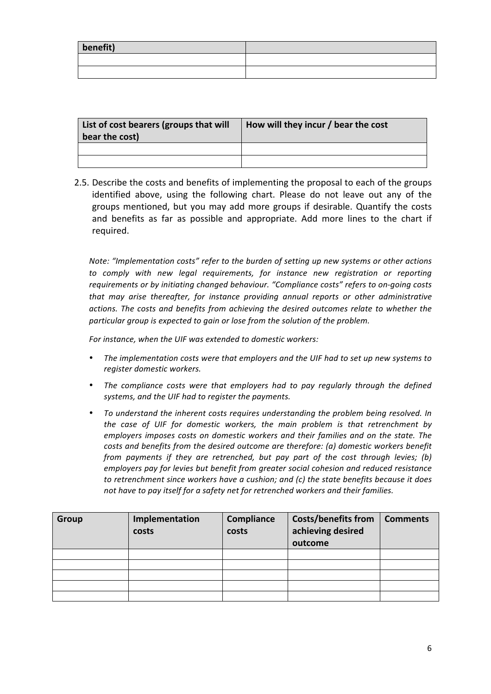| benefit) |  |
|----------|--|
|          |  |
|          |  |

| List of cost bearers (groups that will<br>bear the cost) | How will they incur / bear the cost |
|----------------------------------------------------------|-------------------------------------|
|                                                          |                                     |
|                                                          |                                     |

2.5. Describe the costs and benefits of implementing the proposal to each of the groups identified above, using the following chart. Please do not leave out any of the groups mentioned, but you may add more groups if desirable. Quantify the costs and benefits as far as possible and appropriate. Add more lines to the chart if required. 

*Note: "Implementation costs" refer to the burden of setting up new systems or other actions* to comply with new legal requirements, for instance new registration or reporting *requirements or by initiating changed behaviour.* "Compliance costs" refers to on-going costs *that may arise thereafter, for instance providing annual reports or other administrative* actions. The costs and benefits from achieving the desired outcomes relate to whether the particular group is expected to gain or lose from the solution of the problem.

*For instance, when the UIF was extended to domestic workers:* 

- The implementation costs were that employers and the UIF had to set up new systems to *register domestic workers.*
- The compliance costs were that employers had to pay regularly through the defined systems, and the UIF had to register the payments.
- To understand the inherent costs requires understanding the problem being resolved. In the case of UIF for domestic workers, the main problem is that retrenchment by *employers imposes costs on domestic workers and their families and on the state. The costs and benefits from the desired outcome are therefore: (a) domestic workers benefit from payments if they are retrenched, but pay part of the cost through levies; (b) employers pay for levies but benefit from greater social cohesion and reduced resistance to* retrenchment since workers have a cushion; and (c) the state benefits because it does not have to pay itself for a safety net for retrenched workers and their families.

| Group | Implementation | Compliance | <b>Costs/benefits from</b> | <b>Comments</b> |
|-------|----------------|------------|----------------------------|-----------------|
|       | costs          | costs      | achieving desired          |                 |
|       |                |            | outcome                    |                 |
|       |                |            |                            |                 |
|       |                |            |                            |                 |
|       |                |            |                            |                 |
|       |                |            |                            |                 |
|       |                |            |                            |                 |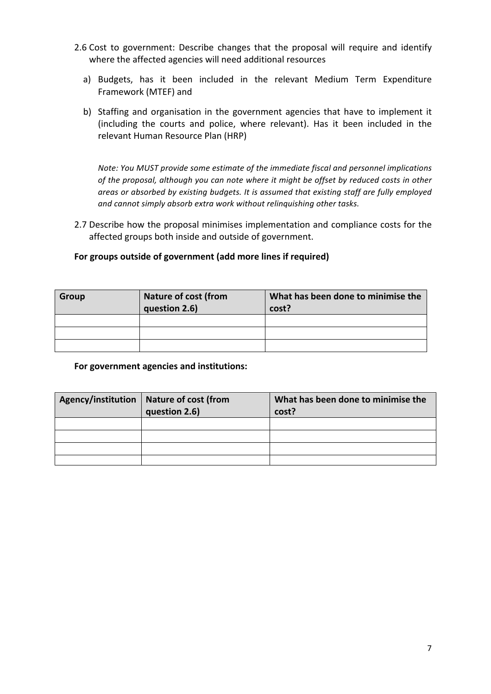- 2.6 Cost to government: Describe changes that the proposal will require and identify where the affected agencies will need additional resources
	- a) Budgets, has it been included in the relevant Medium Term Expenditure Framework (MTEF) and
	- b) Staffing and organisation in the government agencies that have to implement it (including the courts and police, where relevant). Has it been included in the relevant Human Resource Plan (HRP)

Note: You MUST provide some estimate of the immediate fiscal and personnel implications of the proposal, although you can note where it might be offset by reduced costs in other areas or absorbed by existing budgets. It is assumed that existing staff are fully employed and cannot simply absorb extra work without relinquishing other tasks.

2.7 Describe how the proposal minimises implementation and compliance costs for the affected groups both inside and outside of government.

## For groups outside of government (add more lines if required)

| <b>Group</b> | <b>Nature of cost (from</b> | What has been done to minimise the |
|--------------|-----------------------------|------------------------------------|
|              | question 2.6)               | cost?                              |
|              |                             |                                    |
|              |                             |                                    |
|              |                             |                                    |

#### For government agencies and institutions:

| Agency/institution   Nature of cost (from<br>question 2.6) | What has been done to minimise the<br>cost? |
|------------------------------------------------------------|---------------------------------------------|
|                                                            |                                             |
|                                                            |                                             |
|                                                            |                                             |
|                                                            |                                             |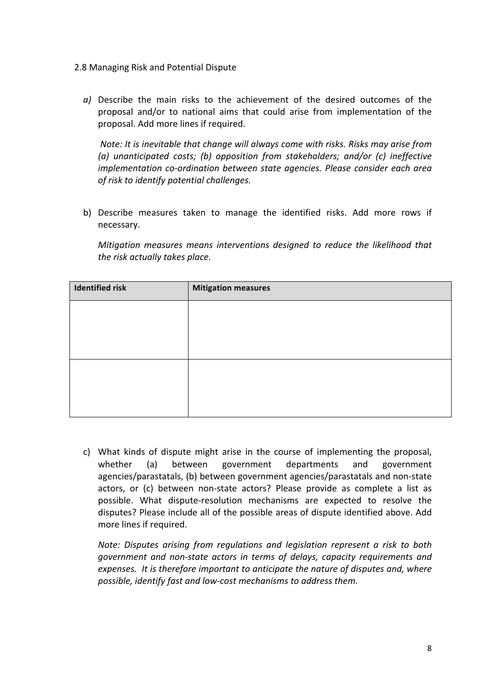- 2.8 Managing Risk and Potential Dispute
	- *a*) Describe the main risks to the achievement of the desired outcomes of the proposal and/or to national aims that could arise from implementation of the proposal. Add more lines if required.

*Note:* It is inevitable that change will always come with risks. Risks may arise from (a) unanticipated costs; (b) opposition from stakeholders; and/or (c) ineffective *implementation co-ordination between state agencies. Please consider each area of risk to identify potential challenges.* 

b) Describe measures taken to manage the identified risks. Add more rows if necessary. 

*Mitigation measures means interventions designed to reduce the likelihood that* the risk actually takes place.

| <b>Identified risk</b> | <b>Mitigation measures</b> |
|------------------------|----------------------------|
|                        |                            |
|                        |                            |
|                        |                            |
|                        |                            |
|                        |                            |
|                        |                            |

c) What kinds of dispute might arise in the course of implementing the proposal, whether (a) between government departments and government agencies/parastatals, (b) between government agencies/parastatals and non-state actors, or (c) between non-state actors? Please provide as complete a list as possible. What dispute-resolution mechanisms are expected to resolve the disputes? Please include all of the possible areas of dispute identified above. Add more lines if required.

*Note: Disputes arising from regulations and legislation represent a risk to both government and non-state actors in terms of delays, capacity requirements and expenses.* It is therefore important to anticipate the nature of disputes and, where possible, identify fast and low-cost mechanisms to address them.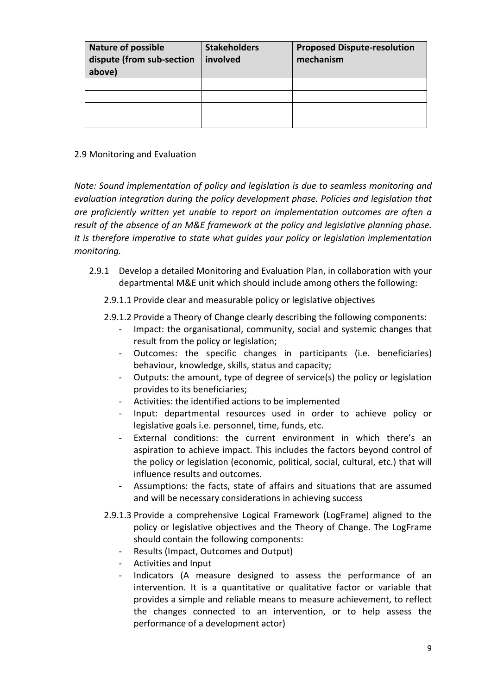| <b>Nature of possible</b><br>dispute (from sub-section<br>above) | <b>Stakeholders</b><br>involved | <b>Proposed Dispute-resolution</b><br>mechanism |
|------------------------------------------------------------------|---------------------------------|-------------------------------------------------|
|                                                                  |                                 |                                                 |
|                                                                  |                                 |                                                 |
|                                                                  |                                 |                                                 |
|                                                                  |                                 |                                                 |

### 2.9 Monitoring and Evaluation

*Note:* Sound implementation of policy and legislation is due to seamless monitoring and evaluation integration during the policy development phase. Policies and legislation that are proficiently written yet unable to report on implementation outcomes are often a *result of the absence of an M&E framework at the policy and legislative planning phase.* It is therefore *imperative* to state what guides your policy or legislation implementation *monitoring.*

2.9.1 Develop a detailed Monitoring and Evaluation Plan, in collaboration with your departmental M&E unit which should include among others the following:

2.9.1.1 Provide clear and measurable policy or legislative objectives

- 2.9.1.2 Provide a Theory of Change clearly describing the following components:
	- Impact: the organisational, community, social and systemic changes that result from the policy or legislation;
	- Outcomes: the specific changes in participants (i.e. beneficiaries) behaviour, knowledge, skills, status and capacity;
	- Outputs: the amount, type of degree of service(s) the policy or legislation provides to its beneficiaries;
	- Activities: the identified actions to be implemented
	- Input: departmental resources used in order to achieve policy or legislative goals i.e. personnel, time, funds, etc.
	- External conditions: the current environment in which there's an aspiration to achieve impact. This includes the factors beyond control of the policy or legislation (economic, political, social, cultural, etc.) that will influence results and outcomes.
	- Assumptions: the facts, state of affairs and situations that are assumed and will be necessary considerations in achieving success
- 2.9.1.3 Provide a comprehensive Logical Framework (LogFrame) aligned to the policy or legislative objectives and the Theory of Change. The LogFrame should contain the following components:
	- Results (Impact, Outcomes and Output)
	- Activities and Input
	- Indicators (A measure designed to assess the performance of an intervention. It is a quantitative or qualitative factor or variable that provides a simple and reliable means to measure achievement, to reflect the changes connected to an intervention, or to help assess the performance of a development actor)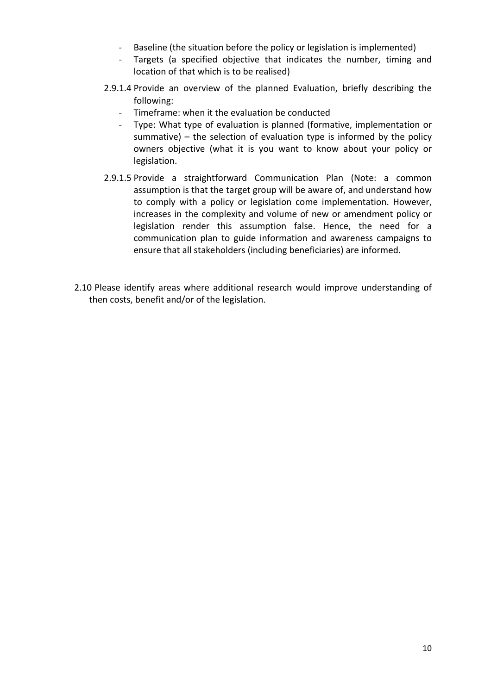- Baseline (the situation before the policy or legislation is implemented)
- Targets (a specified objective that indicates the number, timing and location of that which is to be realised)
- 2.9.1.4 Provide an overview of the planned Evaluation, briefly describing the following:
	- Timeframe: when it the evaluation be conducted
	- Type: What type of evaluation is planned (formative, implementation or summative)  $-$  the selection of evaluation type is informed by the policy owners objective (what it is you want to know about your policy or legislation.
- 2.9.1.5 Provide a straightforward Communication Plan (Note: a common assumption is that the target group will be aware of, and understand how to comply with a policy or legislation come implementation. However, increases in the complexity and volume of new or amendment policy or legislation render this assumption false. Hence, the need for a communication plan to guide information and awareness campaigns to ensure that all stakeholders (including beneficiaries) are informed.
- 2.10 Please identify areas where additional research would improve understanding of then costs, benefit and/or of the legislation.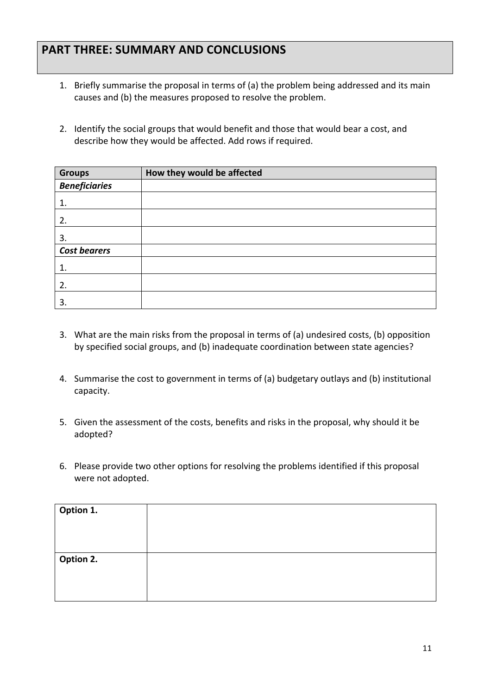# **PART THREE: SUMMARY AND CONCLUSIONS**

- 1. Briefly summarise the proposal in terms of (a) the problem being addressed and its main causes and (b) the measures proposed to resolve the problem.
- 2. Identify the social groups that would benefit and those that would bear a cost, and describe how they would be affected. Add rows if required.

| <b>Groups</b>        | How they would be affected |
|----------------------|----------------------------|
| <b>Beneficiaries</b> |                            |
| 1.                   |                            |
| 2.                   |                            |
| 3.                   |                            |
| <b>Cost bearers</b>  |                            |
| 1.                   |                            |
| 2.                   |                            |
| 3.                   |                            |

- 3. What are the main risks from the proposal in terms of (a) undesired costs, (b) opposition by specified social groups, and (b) inadequate coordination between state agencies?
- 4. Summarise the cost to government in terms of (a) budgetary outlays and (b) institutional capacity.
- 5. Given the assessment of the costs, benefits and risks in the proposal, why should it be adopted?
- 6. Please provide two other options for resolving the problems identified if this proposal were not adopted.